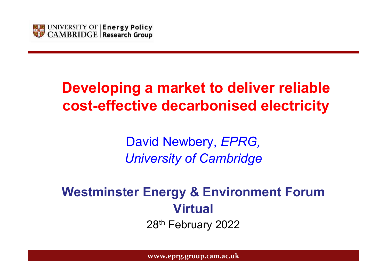

#### Developing a market to deliver reliable cost-effective decarbonised electricity

David Newbery, EPRG, University of Cambridge

#### Westminster Energy & Environment Forum Virtual 28th February 2022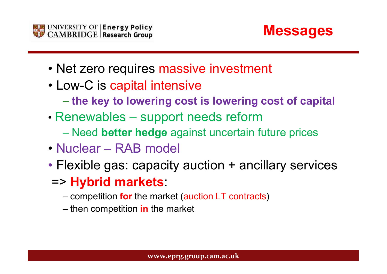



- EXAMBRIDGE Research Group<br>
 Net zero requires massive investment<br>
 Low-C is capital intensive<br>
 the key to lowering cost is lowering cost of ca UNIVERSITY OF Energy Policy<br>
CAMBRIDGE Research Group<br>
• Net zero requires massive investment<br>
• Low-C is capital intensive<br>
– the key to lowering cost is lowering cos<br>
• Renewables – support peeds reform
- 
- the key to lowering cost is lowering cost of capital WINTER TY OF Energy Policy<br>
• Net zero requires massive investment<br>
• Low-C is capital intensive<br>
– the key to lowering cost is lowering cost of capital<br>
• Renewables – support needs reform<br>
– Need better hedge against unc FERSITY OF Energy Policy<br>
ABRIDGE Research Group<br>
Let zero requires massive investment<br>
ow-C is capital intensive<br>
— the key to lowering cost is lowering cost of capital<br>
Henewables — support needs reform<br>
— Need better he
- CAMBRIDGE Research Group<br>
 Net zero requires massive investmer<br>
 Low-C is capital intensive<br>
 the key to lowering cost is lowering c<br>
 Renewables support needs reform<br>
 Need better hedge against uncertain fu<br>
 Nucl – the key to lowering cost is lowe<br>
(enewables – support needs re<br>
– Need better hedge against uncer<br>
luclear – RAB model<br>
lexible gas: capacity auction +<br>
> **Hybrid markets**:<br>
– competition for the market (auction LT comp
	-
- 
- Flexible gas: capacity auction + ancillary services ow-C is capital intensive<br>
— the key to lowering cost is lowering cost of calcenewables — support needs reform<br>
— Need better hedge against uncertain future price<br>
luclear — RAB model<br>
Texible gas: capacity auction + ancil
- => Hybrid markets:
	-
	-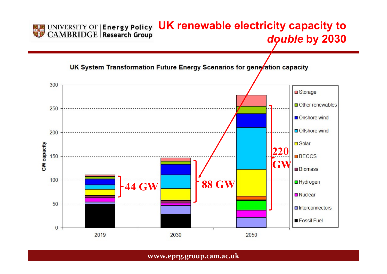#### UNIVERSITY OF Energy Policy UK renewable electricity capacity to CAMBRIDGE Research Group double by 2030

UK System Transformation Future Energy Scenarios for generation capacity

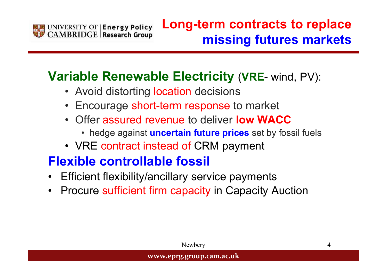

# missing futures<br>
FIRE CREAD CE Research Group<br>
FIRE CREAD CONDUCT TO MANUAL PROPERTING THE CONTROL CONTROL CONTROLL OF CHING CONTROLL PROPERTING CONTROLL PROPERTY CREAD CHING CONTROLL PROPERTY CREAD CONTROLL PROPERTY CONTR Variable Renewable Electricity (VRE- wind, PV):<br>
• Avoid distorting location decisions<br>
• Encourage short-term response to market<br>
• Offer assured revenue to deliver low WACC<br>
• hedge against uncertain future prices set by

- 
- 
- -
- 

#### Flexible controllable fossil

- 
- Variable Renewable Electricity (VRE- wind, P<br>• Avoid distorting location decisions<br>• Encourage short-term response to market<br>• Offer assured revenue to deliver low WACC<br>• hedge against uncertain future prices set by fossil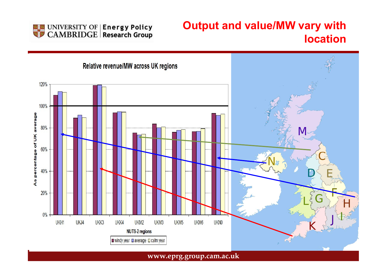

#### Output and value/MW vary with location

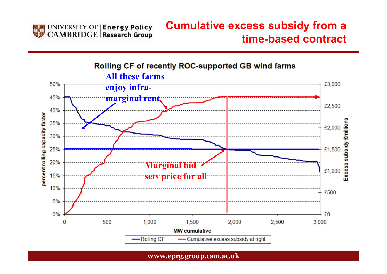

#### Cumulative excess subsidy from a time-based contract

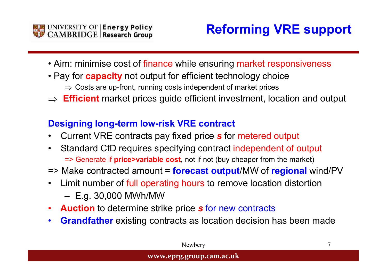

- UNIVERSITY OF Energy Policy<br>
CAMBRIDGE Research Group<br>
 Aim: minimise cost of finance while ensuring market responsiveness<br>
 Pay for **capacity** not output for efficient technology choice<br>
⇒ Costs are up-front, running c
- - $\Rightarrow$  Costs are up-front, running costs independent of market prices
- $\begin{array}{lll} \textsc{UNIVERSTITY OF} & \textsc{Energy Policy} & \textsc{Reforming VRE support} \\\textsc{CAMBRIDGE} & \textsc{Research Group} & \textsc{Reforming WRE support} \\\textit{+ Aim: minimise cost of finance while ensuring market responsiveness} \\\textit{+ Pay for capacity not output for efficient technology choice} & \Rightarrow \textsc{Costs are up-front, running costs independent of market prices} \\\textit{+ Efficient market prices guide efficient investment, location and output} \end{array}$  $\Rightarrow$  **Efficient** market prices guide efficient investment, location and output

#### Designing long-term low-risk VRE contract

- 
- UNIVERSITY OF Energy Policy<br>
 Aim: minimise cost of finance while ensuring market responsiveness<br>
 Pay for **capacity** not output for efficient technology choice<br>
⇒ Costs are up-front, running costs independent of marke CAMBRIDGE Research Group<br>
• Aim: minimise cost of finance while ensuring market responsiveness<br>
• Pay for capacity not output for efficient technology choice<br>
⇒ Costs are up-front, running costs independent of market pri => Generate if **price>variable cost**, not if not (buy cheaper from the market) • Pay for **capacity** not output for efficient technology choice<br>  $\Rightarrow$  Costs are up-front, running costs independent of market prices<br>  $\Rightarrow$  **Efficient** market prices guide efficient investment, location and output<br> **Design**  $\gamma$  for **Capacity** flot output for emcelent technology choice<br>  $\Rightarrow$  Costs are up-front, running costs independent of market prices<br> **Efficient** market prices guide efficient investment, location<br> **igning long-term low-ri**
- $\Rightarrow$  Make contracted amount = **forecast output**/MW of **regional** wind/PV
- -
- **Auction** to determine strike price **s** for new contracts
- Grandfather existing contracts as location decision has been made

| <u> 19119 - 1911 - 1911 - 1911 - 1922 - 1933 - 194</u>                           |        |
|----------------------------------------------------------------------------------|--------|
| VRE contracts pay fixed price s for metered output                               |        |
| d CfD requires specifying contract independent of output                         |        |
| rate if <b>price&gt;variable cost</b> , not if not (buy cheaper from the market) |        |
| ontracted amount = forecast output/MW of regional wind/PV                        |        |
| mber of full operating hours to remove location distortion                       |        |
| 30,000 MWh/MW                                                                    |        |
| to determine strike price s for new contracts                                    |        |
| ather existing contracts as location decision has been made                      |        |
| Newbery                                                                          | $\tau$ |
| www.eprg.group.cam.ac.uk                                                         |        |
|                                                                                  |        |
|                                                                                  |        |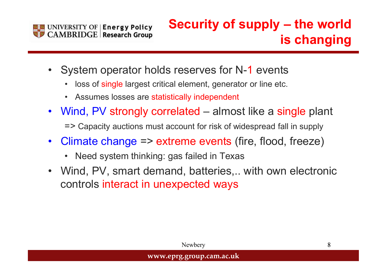

### Security of supply – the world<br>is changing is changing UNIVERSITY OF Energy Policy **Security of supply — the world**<br>CAMBRIDGE Research Group **is changing**<br>• System operator holds reserves for N-1 events<br>• loss of single largest critical element, generator or line etc.<br>• Assume ERSITY OF | Energy Policy **Security of supply — the w**<br>
IS Chang<br>
System operator holds reserves for N-1 events<br>
• loss of single largest critical element, generator or line etc.<br>
• Assumes losses are statistically indepen ERSITY OF Energy Policy<br>
• **Security of supply**<br>
• Bystem operator holds reserves for N-1 ever<br>
• loss of single largest critical element, generator or line e<br>
• Assumes losses are statistically independent<br>
• Vind, PV str WINTER UNIVERSITY OF Energy Policy<br>
• System operator holds reserves for N-1 events<br>
• System operator holds reserves for N-1 events<br>
• Ioss of single largest critical element, generator or line etc.<br>
• Assumes losses are • CAMBRIDGE Research Group<br>• System operator holds reserves for N-1 events<br>• System operator holds reserves for N-1 events<br>• loss of single largest critical element, generator or line etc.<br>• Assumes losses are statisticall

- -
	-
- - => Capacity auctions must account for risk of widespread fall in supply
- -
- which it is a complexies of state in supply<br>
the events (fire, flood, freeze)<br>
stailed in Texas<br>
I, batteries,.. with own electronic<br>
rected ways<br>
Newbery<br>
serval cannacuk **IS Character Conducts of System operator holds reserves for N-1 events**<br>• loss of single largest critical element, generator or line etc.<br>• Assumes losses are statistically independent<br>Wind, PV strongly correlated – almos • System operator holds reserves for N-1 events<br>• loss of single largest critical element, generator or line etc.<br>• Assumes losses are statistically independent<br>• Wind, PV strongly correlated – almost like a single plant<br>• controls interact in unexpected ways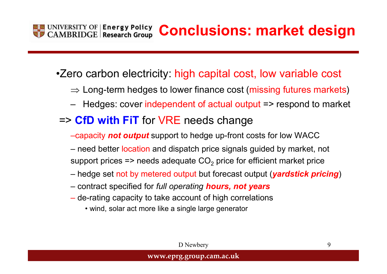## UNIVERSITY OF Energy Policy Conclusions: market design SITY OF Energy Policy **Conclusions: market design**<br>PRIDGE Research Group **Conclusions: market design**<br>Pro carbon electricity: high capital cost, low variable cost<br>Prodges: cover independent of actual output => respond to m VERSITY OF Energy Policy **Conclusions: market des**<br>
MBRIDGE Research Group **Conclusions: market des**<br>
Zero carbon electricity: high capital cost, low variable cc<br>
⇒ Long-term hedges to lower finance cost (missing futures

#### •Zero carbon electricity: high capital cost, low variable cost

- $\Rightarrow$  Long-term hedges to lower finance cost (missing futures markets)
- 

- to hedge up-front costs for low WACC<br>patch price signals guided by market, not<br>quate CO<sub>2</sub> price for efficient market price<br>utput but forecast output (*yardstick pricing*)<br>erating **hours, not years**<br>ccount of high correlat SITY OF | Energy Policy Conclusions: market design<br>
FRIDGE | Research Group Conclusions: market design<br>
<br>
From Carbon electricity: high capital cost, low variable cost<br>
→ Long-term hedges to lower finance cost (missing fu EXIDGE Research Group CONCIUSIONS: Market designt<br>
are carbon electricity: high capital cost, low variable cost<br>  $\Rightarrow$  Long-term hedges to lower finance cost (missing futures markets)<br>  $-$  Hedges: cover independent of actu support prices => needs adequate  $\mathsf{CO}_2$  price for efficient market price ero carbon electricity: high capital cost, low variable cost<br>
⇒ Long-term hedges to lower finance cost (missing futures markets)<br>
— Hedges: cover independent of actual output => respond to market<br>
• CfD with FiT for VRE ero carbon electricity: high capital cost, low variable cost<br>
⇒ Long-term hedges to lower finance cost (missing futures markets)<br>
– Hedges: cover independent of actual output => respond to market<br>
• **CfD with FiT** for VR -ong-term neages to lower infance cost reddges: cover independent of actual out<br>Form with Fither and the process change and  $\overline{p}$  active more like a single point of each better location and dispatch price signals<br>port
- 
- 
- de-rating capacity to take account of high correlations
	-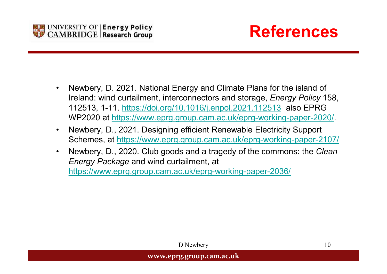



- FRIENCE RESEARCH CHOING THE RESEARCH CHOINGLE Research Group<br>
 Newbery, D. 2021. National Energy and Climate Plans for the island of<br>
Feland: wind curtailment, interconnectors and storage, *Energy Policy* 158,<br>
112513, 1-Ireland: wind curtailment, interconnectors and storage, *Energy Policy* 158, 112513, 1-11. https://doi.org/10.1016/j.enpol.2021.112513 also EPRG WERSITY OF Energy Policy<br>
• Newbery, D. 2021. National Energy and Climate Plans for the island of<br>
Ireland: wind curtailment, interconnectors and storage, *Energy Policy* 158,<br>
112513, 1-11. https://www.eprg.group.cam.ac.u • Newbery, D., 2021. National Energy and Climate Plans for the island of<br>
Ireland: wind curtailment, interconnectors and storage, *Energy Policy* 158,<br>
112513, 1-11. https://doi.org/10.1016/j.enpol.2021.112513 also EPRG<br>
W
- Schemes, at https://www.eprg.group.cam.ac.uk/eprg-working-paper-2107/
- efficient Renewable Electricity Support<br>
.group.cam.ac.uk/eprg-working-paper-2107/<br>
is and a tragedy of the commons: the *Clean*<br>
tailment, at<br>
c.uk/eprg-working-paper-2036/<br>
D Newbery<br>
D Newbery<br>
10<br> **g.group.cam.ac.uk** Energy Package and wind curtailment, at https://www.eprg.group.cam.ac.uk/eprg-working-paper-2036/